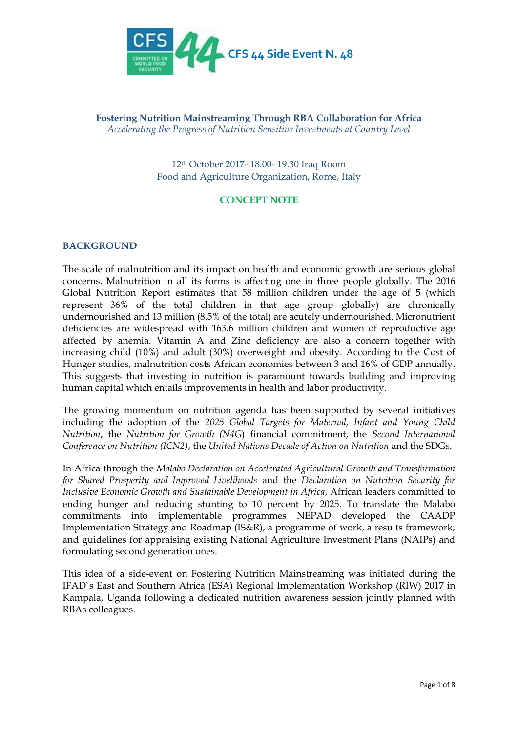

**Fostering Nutrition Mainstreaming Through RBA Collaboration for Africa** *Accelerating the Progress of Nutrition Sensitive Investments at Country Level*

> 12th October 2017- 18.00- 19.30 Iraq Room Food and Agriculture Organization, Rome, Italy

# **CONCEPT NOTE**

#### **BACKGROUND**

The scale of malnutrition and its impact on health and economic growth are serious global concerns. Malnutrition in all its forms is affecting one in three people globally. The 2016 Global Nutrition Report estimates that 58 million children under the age of 5 (which represent 36% of the total children in that age group globally) are chronically undernourished and 13 million (8.5% of the total) are acutely undernourished. Micronutrient deficiencies are widespread with 163.6 million children and women of reproductive age affected by anemia. Vitamin A and Zinc deficiency are also a concern together with increasing child (10%) and adult (30%) overweight and obesity. According to the Cost of Hunger studies, malnutrition costs African economies between 3 and 16% of GDP annually. This suggests that investing in nutrition is paramount towards building and improving human capital which entails improvements in health and labor productivity.

The growing momentum on nutrition agenda has been supported by several initiatives including the adoption of the *2025 Global Targets for Maternal, Infant and Young Child Nutrition*, the *Nutrition for Growth (N4G*) financial commitment, the *Second International Conference on Nutrition (ICN2)*, the *United Nations Decade of Action on Nutrition* and the SDGs.

In Africa through the *Malabo Declaration on Accelerated Agricultural Growth and Transformation for Shared Prosperity and Improved Livelihoods* and the *Declaration on Nutrition Security for Inclusive Economic Growth and Sustainable Development in Africa*, African leaders committed to ending hunger and reducing stunting to 10 percent by 2025. To translate the Malabo commitments into implementable programmes NEPAD developed the CAADP Implementation Strategy and Roadmap (IS&R), a programme of work, a results framework, and guidelines for appraising existing National Agriculture Investment Plans (NAIPs) and formulating second generation ones.

This idea of a side-event on Fostering Nutrition Mainstreaming was initiated during the IFAD`s East and Southern Africa (ESA) Regional Implementation Workshop (RIW) 2017 in Kampala, Uganda following a dedicated nutrition awareness session jointly planned with RBAs colleagues.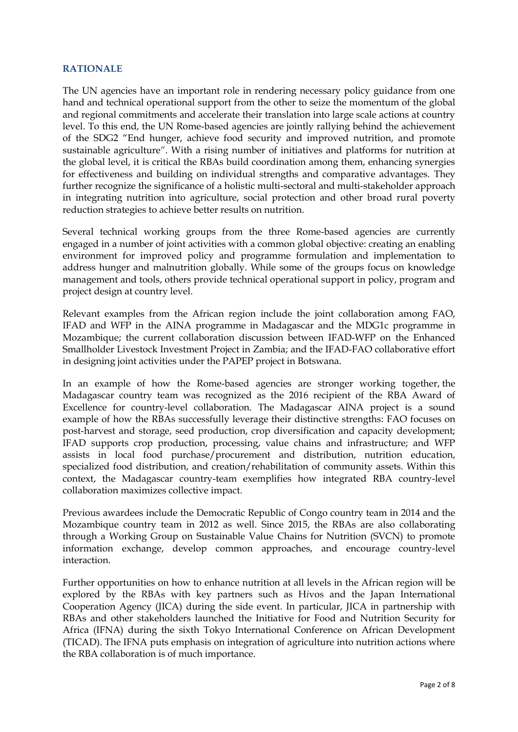### **RATIONALE**

The UN agencies have an important role in rendering necessary policy guidance from one hand and technical operational support from the other to seize the momentum of the global and regional commitments and accelerate their translation into large scale actions at country level. To this end, the UN Rome-based agencies are jointly rallying behind the achievement of the SDG2 "End hunger, achieve food security and improved nutrition, and promote sustainable agriculture**"**. With a rising number of initiatives and platforms for nutrition at the global level, it is critical the RBAs build coordination among them, enhancing synergies for effectiveness and building on individual strengths and comparative advantages. They further recognize the significance of a holistic multi-sectoral and multi-stakeholder approach in integrating nutrition into agriculture, social protection and other broad rural poverty reduction strategies to achieve better results on nutrition.

Several technical working groups from the three Rome-based agencies are currently engaged in a number of joint activities with a common global objective: creating an enabling environment for improved policy and programme formulation and implementation to address hunger and malnutrition globally. While some of the groups focus on knowledge management and tools, others provide technical operational support in policy, program and project design at country level.

Relevant examples from the African region include the joint collaboration among FAO, IFAD and WFP in the AINA programme in Madagascar and the MDG1c programme in Mozambique; the current collaboration discussion between IFAD-WFP on the Enhanced Smallholder Livestock Investment Project in Zambia; and the IFAD-FAO collaborative effort in designing joint activities under the PAPEP project in Botswana.

In an example of how the Rome-based agencies are stronger working together, the Madagascar country team was recognized as the 2016 recipient of the RBA Award of Excellence for country-level collaboration. The Madagascar AINA project is a sound example of how the RBAs successfully leverage their distinctive strengths: FAO focuses on post-harvest and storage, seed production, crop diversification and capacity development; IFAD supports crop production, processing, value chains and infrastructure; and WFP assists in local food purchase/procurement and distribution, nutrition education, specialized food distribution, and creation/rehabilitation of community assets. Within this context, the Madagascar country-team exemplifies how integrated RBA country-level collaboration maximizes collective impact.

Previous awardees include the Democratic Republic of Congo country team in 2014 and the Mozambique country team in 2012 as well. Since 2015, the RBAs are also collaborating through a Working Group on Sustainable Value Chains for Nutrition (SVCN) to promote information exchange, develop common approaches, and encourage country-level interaction.

Further opportunities on how to enhance nutrition at all levels in the African region will be explored by the RBAs with key partners such as H*i*vos and the Japan International Cooperation Agency (JICA) during the side event. In particular, JICA in partnership with RBAs and other stakeholders launched the Initiative for Food and Nutrition Security for Africa (IFNA) during the sixth Tokyo International Conference on African Development (TICAD). The IFNA puts emphasis on integration of agriculture into nutrition actions where the RBA collaboration is of much importance.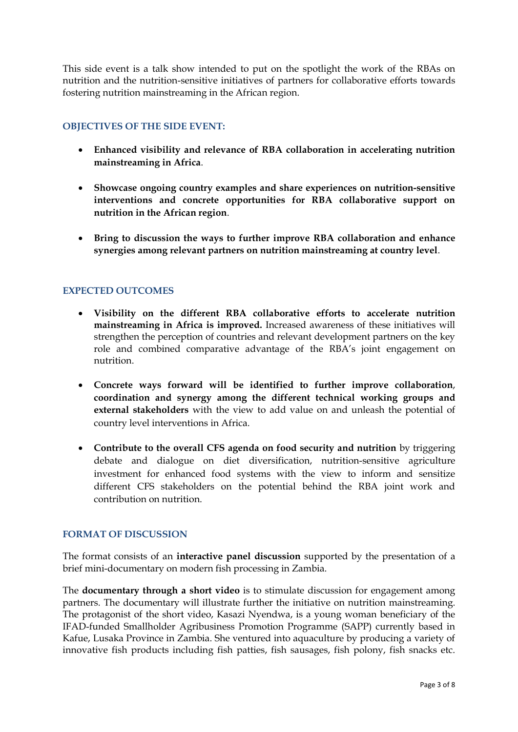This side event is a talk show intended to put on the spotlight the work of the RBAs on nutrition and the nutrition-sensitive initiatives of partners for collaborative efforts towards fostering nutrition mainstreaming in the African region.

# **OBJECTIVES OF THE SIDE EVENT:**

- **Enhanced visibility and relevance of RBA collaboration in accelerating nutrition mainstreaming in Africa**.
- **Showcase ongoing country examples and share experiences on nutrition-sensitive interventions and concrete opportunities for RBA collaborative support on nutrition in the African region**.
- **Bring to discussion the ways to further improve RBA collaboration and enhance synergies among relevant partners on nutrition mainstreaming at country level**.

# **EXPECTED OUTCOMES**

- **Visibility on the different RBA collaborative efforts to accelerate nutrition mainstreaming in Africa is improved.** Increased awareness of these initiatives will strengthen the perception of countries and relevant development partners on the key role and combined comparative advantage of the RBA's joint engagement on nutrition.
- **Concrete ways forward will be identified to further improve collaboration**, **coordination and synergy among the different technical working groups and external stakeholders** with the view to add value on and unleash the potential of country level interventions in Africa.
- **Contribute to the overall CFS agenda on food security and nutrition** by triggering debate and dialogue on diet diversification, nutrition-sensitive agriculture investment for enhanced food systems with the view to inform and sensitize different CFS stakeholders on the potential behind the RBA joint work and contribution on nutrition.

# **FORMAT OF DISCUSSION**

The format consists of an **interactive panel discussion** supported by the presentation of a brief mini-documentary on modern fish processing in Zambia.

The **documentary through a short video** is to stimulate discussion for engagement among partners. The documentary will illustrate further the initiative on nutrition mainstreaming. The protagonist of the short video, Kasazi Nyendwa, is a young woman beneficiary of the IFAD-funded Smallholder Agribusiness Promotion Programme (SAPP) currently based in Kafue, Lusaka Province in Zambia. She ventured into aquaculture by producing a variety of innovative fish products including fish patties, fish sausages, fish polony, fish snacks etc.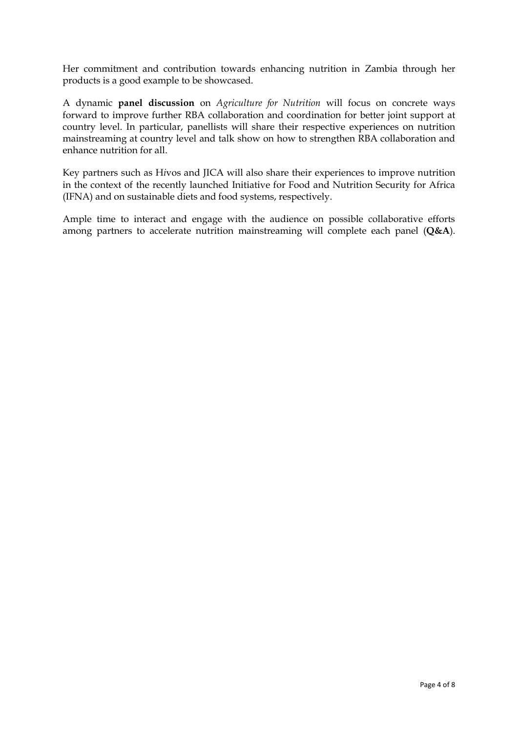Her commitment and contribution towards enhancing nutrition in Zambia through her products is a good example to be showcased.

A dynamic **panel discussion** on *Agriculture for Nutrition* will focus on concrete ways forward to improve further RBA collaboration and coordination for better joint support at country level. In particular, panellists will share their respective experiences on nutrition mainstreaming at country level and talk show on how to strengthen RBA collaboration and enhance nutrition for all.

Key partners such as H*i*vos and JICA will also share their experiences to improve nutrition in the context of the recently launched Initiative for Food and Nutrition Security for Africa (IFNA) and on sustainable diets and food systems, respectively.

Ample time to interact and engage with the audience on possible collaborative efforts among partners to accelerate nutrition mainstreaming will complete each panel (**Q&A**).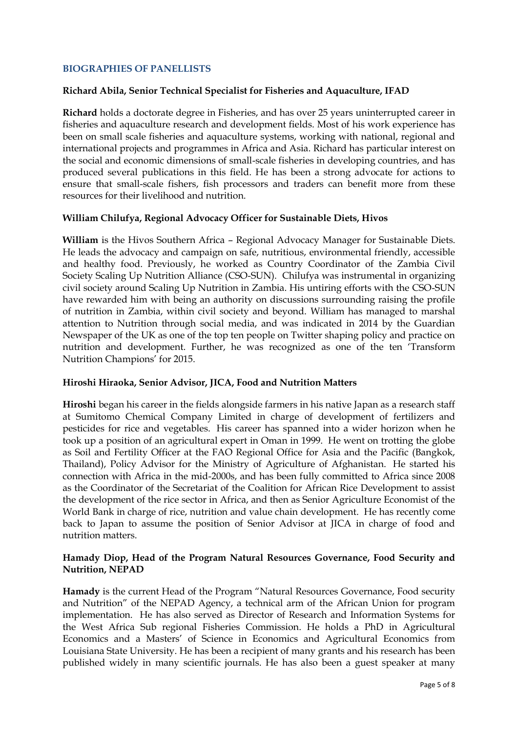## **BIOGRAPHIES OF PANELLISTS**

### **Richard Abila, Senior Technical Specialist for Fisheries and Aquaculture, IFAD**

**Richard** holds a doctorate degree in Fisheries, and has over 25 years uninterrupted career in fisheries and aquaculture research and development fields. Most of his work experience has been on small scale fisheries and aquaculture systems, working with national, regional and international projects and programmes in Africa and Asia. Richard has particular interest on the social and economic dimensions of small-scale fisheries in developing countries, and has produced several publications in this field. He has been a strong advocate for actions to ensure that small-scale fishers, fish processors and traders can benefit more from these resources for their livelihood and nutrition.

#### **William Chilufya, Regional Advocacy Officer for Sustainable Diets, Hivos**

**William** is the Hivos Southern Africa – Regional Advocacy Manager for Sustainable Diets. He leads the advocacy and campaign on safe, nutritious, environmental friendly, accessible and healthy food. Previously, he worked as Country Coordinator of the Zambia Civil Society Scaling Up Nutrition Alliance (CSO-SUN). Chilufya was instrumental in organizing civil society around Scaling Up Nutrition in Zambia. His untiring efforts with the CSO-SUN have rewarded him with being an authority on discussions surrounding raising the profile of nutrition in Zambia, within civil society and beyond. William has managed to marshal attention to Nutrition through social media, and was indicated in 2014 by the Guardian Newspaper of the UK as one of the top ten people on Twitter shaping policy and practice on nutrition and development. Further, he was recognized as one of the ten 'Transform Nutrition Champions' for 2015.

#### **Hiroshi Hiraoka, Senior Advisor, JICA, Food and Nutrition Matters**

**Hiroshi** began his career in the fields alongside farmers in his native Japan as a research staff at Sumitomo Chemical Company Limited in charge of development of fertilizers and pesticides for rice and vegetables. His career has spanned into a wider horizon when he took up a position of an agricultural expert in Oman in 1999. He went on trotting the globe as Soil and Fertility Officer at the FAO Regional Office for Asia and the Pacific (Bangkok, Thailand), Policy Advisor for the Ministry of Agriculture of Afghanistan. He started his connection with Africa in the mid-2000s, and has been fully committed to Africa since 2008 as the Coordinator of the Secretariat of the Coalition for African Rice Development to assist the development of the rice sector in Africa, and then as Senior Agriculture Economist of the World Bank in charge of rice, nutrition and value chain development. He has recently come back to Japan to assume the position of Senior Advisor at JICA in charge of food and nutrition matters.

### **Hamady Diop, Head of the Program Natural Resources Governance, Food Security and Nutrition, NEPAD**

**Hamady** is the current Head of the Program "Natural Resources Governance, Food security and Nutrition" of the NEPAD Agency, a technical arm of the African Union for program implementation. He has also served as Director of Research and Information Systems for the West Africa Sub regional Fisheries Commission. He holds a PhD in Agricultural Economics and a Masters' of Science in Economics and Agricultural Economics from Louisiana State University. He has been a recipient of many grants and his research has been published widely in many scientific journals. He has also been a guest speaker at many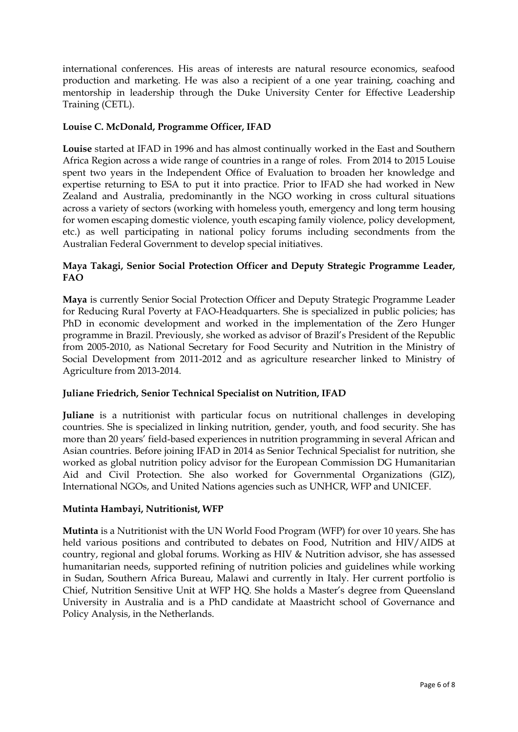international conferences. His areas of interests are natural resource economics, seafood production and marketing. He was also a recipient of a one year training, coaching and mentorship in leadership through the Duke University Center for Effective Leadership Training (CETL).

# **Louise C. McDonald, Programme Officer, IFAD**

**Louise** started at IFAD in 1996 and has almost continually worked in the East and Southern Africa Region across a wide range of countries in a range of roles. From 2014 to 2015 Louise spent two years in the Independent Office of Evaluation to broaden her knowledge and expertise returning to ESA to put it into practice. Prior to IFAD she had worked in New Zealand and Australia, predominantly in the NGO working in cross cultural situations across a variety of sectors (working with homeless youth, emergency and long term housing for women escaping domestic violence, youth escaping family violence, policy development, etc.) as well participating in national policy forums including secondments from the Australian Federal Government to develop special initiatives.

# **Maya Takagi, Senior Social Protection Officer and Deputy Strategic Programme Leader, FAO**

**Maya** is currently Senior Social Protection Officer and Deputy Strategic Programme Leader for Reducing Rural Poverty at FAO-Headquarters. She is specialized in public policies; has PhD in economic development and worked in the implementation of the Zero Hunger programme in Brazil. Previously, she worked as advisor of Brazil's President of the Republic from 2005-2010, as National Secretary for Food Security and Nutrition in the Ministry of Social Development from 2011-2012 and as agriculture researcher linked to Ministry of Agriculture from 2013-2014.

# **Juliane Friedrich, Senior Technical Specialist on Nutrition, IFAD**

**Juliane** is a nutritionist with particular focus on nutritional challenges in developing countries. She is specialized in linking nutrition, gender, youth, and food security. She has more than 20 years' field-based experiences in nutrition programming in several African and Asian countries. Before joining IFAD in 2014 as Senior Technical Specialist for nutrition, she worked as global nutrition policy advisor for the European Commission DG Humanitarian Aid and Civil Protection. She also worked for Governmental Organizations (GIZ), International NGOs, and United Nations agencies such as UNHCR, WFP and UNICEF.

# **Mutinta Hambayi, Nutritionist, WFP**

**Mutinta** is a Nutritionist with the UN World Food Program (WFP) for over 10 years. She has held various positions and contributed to debates on Food, Nutrition and HIV/AIDS at country, regional and global forums. Working as HIV & Nutrition advisor, she has assessed humanitarian needs, supported refining of nutrition policies and guidelines while working in Sudan, Southern Africa Bureau, Malawi and currently in Italy. Her current portfolio is Chief, Nutrition Sensitive Unit at WFP HQ. She holds a Master's degree from Queensland University in Australia and is a PhD candidate at Maastricht school of Governance and Policy Analysis, in the Netherlands.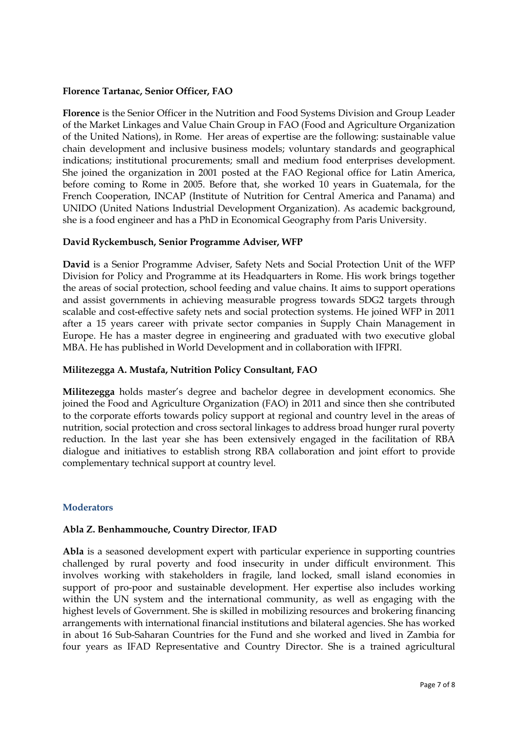## **Florence Tartanac, Senior Officer, FAO**

**Florence** is the Senior Officer in the Nutrition and Food Systems Division and Group Leader of the Market Linkages and Value Chain Group in FAO (Food and Agriculture Organization of the United Nations), in Rome. Her areas of expertise are the following: sustainable value chain development and inclusive business models; voluntary standards and geographical indications; institutional procurements; small and medium food enterprises development. She joined the organization in 2001 posted at the FAO Regional office for Latin America, before coming to Rome in 2005. Before that, she worked 10 years in Guatemala, for the French Cooperation, INCAP (Institute of Nutrition for Central America and Panama) and UNIDO (United Nations Industrial Development Organization). As academic background, she is a food engineer and has a PhD in Economical Geography from Paris University.

### **David Ryckembusch, Senior Programme Adviser, WFP**

**David** is a Senior Programme Adviser, Safety Nets and Social Protection Unit of the WFP Division for Policy and Programme at its Headquarters in Rome. His work brings together the areas of social protection, school feeding and value chains. It aims to support operations and assist governments in achieving measurable progress towards SDG2 targets through scalable and cost-effective safety nets and social protection systems. He joined WFP in 2011 after a 15 years career with private sector companies in Supply Chain Management in Europe. He has a master degree in engineering and graduated with two executive global MBA. He has published in World Development and in collaboration with IFPRI.

### **Militezegga A. Mustafa, Nutrition Policy Consultant, FAO**

**Militezegga** holds master's degree and bachelor degree in development economics. She joined the Food and Agriculture Organization (FAO) in 2011 and since then she contributed to the corporate efforts towards policy support at regional and country level in the areas of nutrition, social protection and cross sectoral linkages to address broad hunger rural poverty reduction. In the last year she has been extensively engaged in the facilitation of RBA dialogue and initiatives to establish strong RBA collaboration and joint effort to provide complementary technical support at country level.

#### **Moderators**

# **Abla Z. Benhammouche, Country Director**, **IFAD**

**Abla** is a seasoned development expert with particular experience in supporting countries challenged by rural poverty and food insecurity in under difficult environment. This involves working with stakeholders in fragile, land locked, small island economies in support of pro-poor and sustainable development. Her expertise also includes working within the UN system and the international community, as well as engaging with the highest levels of Government. She is skilled in mobilizing resources and brokering financing arrangements with international financial institutions and bilateral agencies. She has worked in about 16 Sub-Saharan Countries for the Fund and she worked and lived in Zambia for four years as IFAD Representative and Country Director. She is a trained agricultural